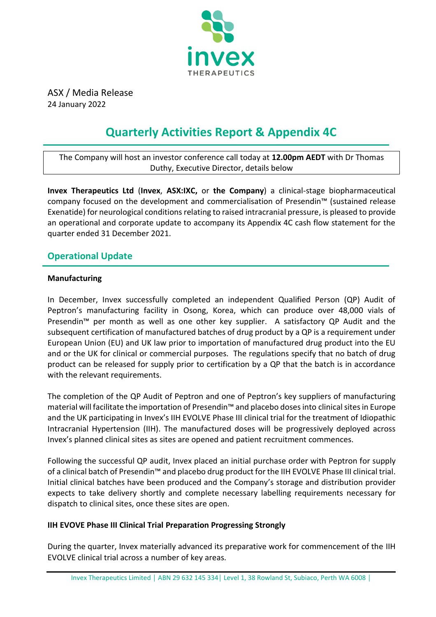

ASX / Media Release 24 January 2022

# **Quarterly Activities Report & Appendix 4C**

The Company will host an investor conference call today at **12.00pm AEDT** with Dr Thomas Duthy, Executive Director, details below

**Invex Therapeutics Ltd** (**Invex**, **ASX:IXC,** or **the Company**) a clinical-stage biopharmaceutical company focused on the development and commercialisation of Presendin™ (sustained release Exenatide) for neurological conditions relating to raised intracranial pressure, is pleased to provide an operational and corporate update to accompany its Appendix 4C cash flow statement for the quarter ended 31 December 2021.

## **Operational Update**

## **Manufacturing**

In December, Invex successfully completed an independent Qualified Person (QP) Audit of Peptron's manufacturing facility in Osong, Korea, which can produce over 48,000 vials of Presendin<sup>™</sup> per month as well as one other key supplier. A satisfactory QP Audit and the subsequent certification of manufactured batches of drug product by a QP is a requirement under European Union (EU) and UK law prior to importation of manufactured drug product into the EU and or the UK for clinical or commercial purposes. The regulations specify that no batch of drug product can be released for supply prior to certification by a QP that the batch is in accordance with the relevant requirements.

The completion of the QP Audit of Peptron and one of Peptron's key suppliers of manufacturing material will facilitate the importation of Presendin™ and placebo doses into clinical sites in Europe and the UK participating in Invex's IIH EVOLVE Phase III clinical trial for the treatment of Idiopathic Intracranial Hypertension (IIH). The manufactured doses will be progressively deployed across Invex's planned clinical sites as sites are opened and patient recruitment commences.

Following the successful QP audit, Invex placed an initial purchase order with Peptron for supply of a clinical batch of Presendin™ and placebo drug product for the IIH EVOLVE Phase III clinical trial. Initial clinical batches have been produced and the Company's storage and distribution provider expects to take delivery shortly and complete necessary labelling requirements necessary for dispatch to clinical sites, once these sites are open.

## **IIH EVOVE Phase III Clinical Trial Preparation Progressing Strongly**

During the quarter, Invex materially advanced its preparative work for commencement of the IIH EVOLVE clinical trial across a number of key areas.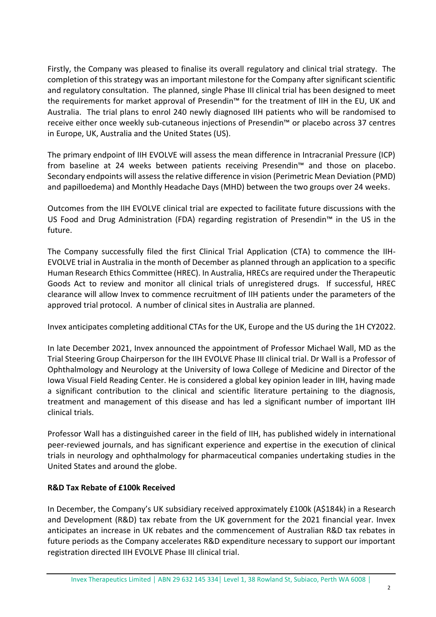Firstly, the Company was pleased to finalise its overall regulatory and clinical trial strategy. The completion of this strategy was an important milestone for the Company after significant scientific and regulatory consultation. The planned, single Phase III clinical trial has been designed to meet the requirements for market approval of Presendin™ for the treatment of IIH in the EU, UK and Australia. The trial plans to enrol 240 newly diagnosed IIH patients who will be randomised to receive either once weekly sub-cutaneous injections of Presendin™ or placebo across 37 centres in Europe, UK, Australia and the United States (US).

The primary endpoint of IIH EVOLVE will assess the mean difference in Intracranial Pressure (ICP) from baseline at 24 weeks between patients receiving Presendin™ and those on placebo. Secondary endpoints will assess the relative difference in vision (Perimetric Mean Deviation (PMD) and papilloedema) and Monthly Headache Days (MHD) between the two groups over 24 weeks.

Outcomes from the IIH EVOLVE clinical trial are expected to facilitate future discussions with the US Food and Drug Administration (FDA) regarding registration of Presendin™ in the US in the future.

The Company successfully filed the first Clinical Trial Application (CTA) to commence the IIH-EVOLVE trial in Australia in the month of December as planned through an application to a specific Human Research Ethics Committee (HREC). In Australia, HRECs are required under the Therapeutic Goods Act to review and monitor all clinical trials of unregistered drugs. If successful, HREC clearance will allow Invex to commence recruitment of IIH patients under the parameters of the approved trial protocol. A number of clinical sites in Australia are planned.

Invex anticipates completing additional CTAs for the UK, Europe and the US during the 1H CY2022.

In late December 2021, Invex announced the appointment of Professor Michael Wall, MD as the Trial Steering Group Chairperson for the IIH EVOLVE Phase III clinical trial. Dr Wall is a Professor of Ophthalmology and Neurology at the University of Iowa College of Medicine and Director of the Iowa Visual Field Reading Center. He is considered a global key opinion leader in IIH, having made a significant contribution to the clinical and scientific literature pertaining to the diagnosis, treatment and management of this disease and has led a significant number of important IIH clinical trials.

Professor Wall has a distinguished career in the field of IIH, has published widely in international peer-reviewed journals, and has significant experience and expertise in the execution of clinical trials in neurology and ophthalmology for pharmaceutical companies undertaking studies in the United States and around the globe.

## **R&D Tax Rebate of £100k Received**

In December, the Company's UK subsidiary received approximately £100k (A\$184k) in a Research and Development (R&D) tax rebate from the UK government for the 2021 financial year. Invex anticipates an increase in UK rebates and the commencement of Australian R&D tax rebates in future periods as the Company accelerates R&D expenditure necessary to support our important registration directed IIH EVOLVE Phase III clinical trial.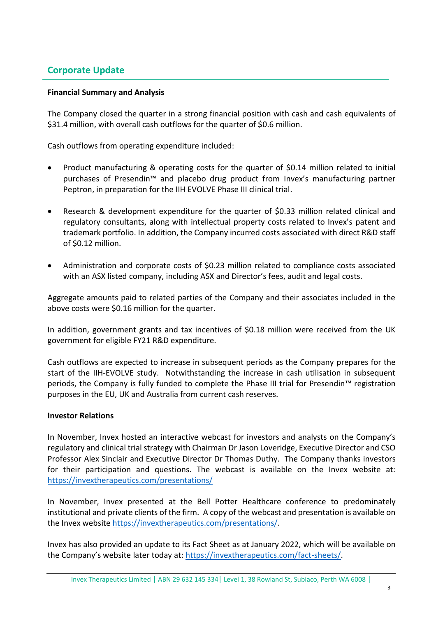## **Corporate Update**

### **Financial Summary and Analysis**

The Company closed the quarter in a strong financial position with cash and cash equivalents of \$31.4 million, with overall cash outflows for the quarter of \$0.6 million.

Cash outflows from operating expenditure included:

- Product manufacturing & operating costs for the quarter of \$0.14 million related to initial purchases of Presendin™ and placebo drug product from Invex's manufacturing partner Peptron, in preparation for the IIH EVOLVE Phase III clinical trial.
- Research & development expenditure for the quarter of \$0.33 million related clinical and regulatory consultants, along with intellectual property costs related to Invex's patent and trademark portfolio. In addition, the Company incurred costs associated with direct R&D staff of \$0.12 million.
- Administration and corporate costs of \$0.23 million related to compliance costs associated with an ASX listed company, including ASX and Director's fees, audit and legal costs.

Aggregate amounts paid to related parties of the Company and their associates included in the above costs were \$0.16 million for the quarter.

In addition, government grants and tax incentives of \$0.18 million were received from the UK government for eligible FY21 R&D expenditure.

Cash outflows are expected to increase in subsequent periods as the Company prepares for the start of the IIH-EVOLVE study. Notwithstanding the increase in cash utilisation in subsequent periods, the Company is fully funded to complete the Phase III trial for Presendin™ registration purposes in the EU, UK and Australia from current cash reserves.

### **Investor Relations**

In November, Invex hosted an interactive webcast for investors and analysts on the Company's regulatory and clinical trial strategy with Chairman Dr Jason Loveridge, Executive Director and CSO Professor Alex Sinclair and Executive Director Dr Thomas Duthy. The Company thanks investors for their participation and questions. The webcast is available on the Invex website at: <https://invextherapeutics.com/presentations/>

In November, Invex presented at the Bell Potter Healthcare conference to predominately institutional and private clients of the firm. A copy of the webcast and presentation is available on the Invex website [https://invextherapeutics.com/presentations/.](https://invextherapeutics.com/presentations/)

Invex has also provided an update to its Fact Sheet as at January 2022, which will be available on the Company's website later today at: [https://invextherapeutics.com/fact-sheets/.](https://invextherapeutics.com/fact-sheets/)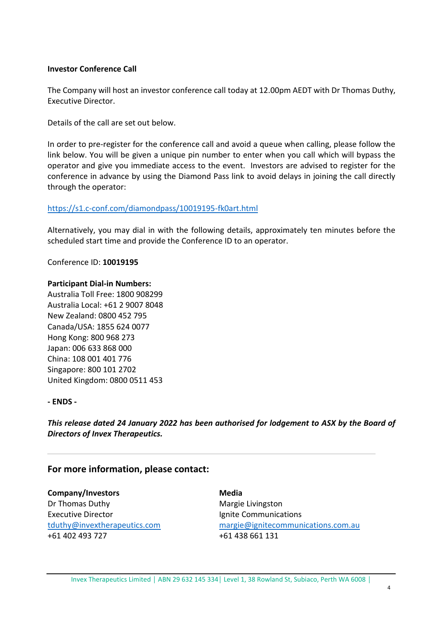#### **Investor Conference Call**

The Company will host an investor conference call today at 12.00pm AEDT with Dr Thomas Duthy, Executive Director.

Details of the call are set out below.

In order to pre-register for the conference call and avoid a queue when calling, please follow the link below. You will be given a unique pin number to enter when you call which will bypass the operator and give you immediate access to the event. Investors are advised to register for the conference in advance by using the Diamond Pass link to avoid delays in joining the call directly through the operator:

### <https://s1.c-conf.com/diamondpass/10019195-fk0art.html>

Alternatively, you may dial in with the following details, approximately ten minutes before the scheduled start time and provide the Conference ID to an operator.

#### Conference ID: **10019195**

#### **Participant Dial-in Numbers:**

Australia Toll Free: 1800 908299 Australia Local: +61 2 9007 8048 New Zealand: 0800 452 795 Canada/USA: 1855 624 0077 Hong Kong: 800 968 273 Japan: 006 633 868 000 China: 108 001 401 776 Singapore: 800 101 2702 United Kingdom: 0800 0511 453

#### **- ENDS -**

*This release dated 24 January 2022 has been authorised for lodgement to ASX by the Board of Directors of Invex Therapeutics.*

## **For more information, please contact:**

**Company/Investors** Dr Thomas Duthy Executive Director [tduthy@invextherapeutics.com](mailto:tduthy@invextherapeutics.comu) +61 402 493 727

**Media** Margie Livingston Ignite Communications [margie@ignitecommunications.com.au](mailto:margie@ignitecommunications.com.au) +61 438 661 131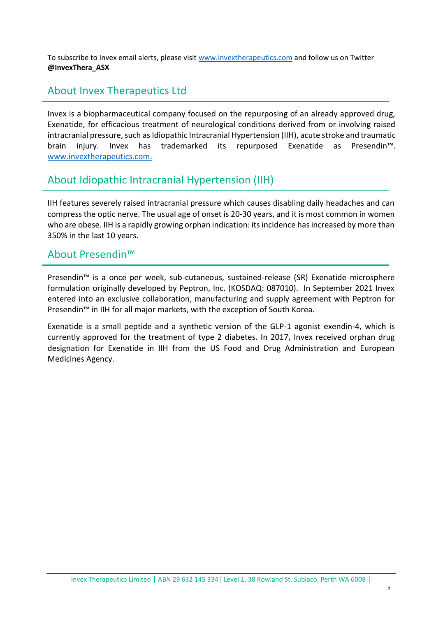To subscribe to Invex email alerts, please visit [www.invextherapeutics.com](http://www.invextherapeutics.com/) and follow us on Twitter **@InvexThera\_ASX**

# About Invex Therapeutics Ltd

Invex is a biopharmaceutical company focused on the repurposing of an already approved drug, Exenatide, for efficacious treatment of neurological conditions derived from or involving raised intracranial pressure, such as Idiopathic Intracranial Hypertension (IIH), acute stroke and traumatic brain injury. Invex has trademarked its repurposed Exenatide as Presendin™. [www.invextherapeutics.com.](http://www.invextherapeutics.com/)

# About Idiopathic Intracranial Hypertension (IIH)

IIH features severely raised intracranial pressure which causes disabling daily headaches and can compress the optic nerve. The usual age of onset is 20-30 years, and it is most common in women who are obese. IIH is a rapidly growing orphan indication: its incidence has increased by more than 350% in the last 10 years.

## About Presendin™

Presendin™ is a once per week, sub-cutaneous, sustained-release (SR) Exenatide microsphere formulation originally developed by Peptron, Inc. (KOSDAQ: 087010). In September 2021 Invex entered into an exclusive collaboration, manufacturing and supply agreement with Peptron for Presendin<sup>™</sup> in IIH for all major markets, with the exception of South Korea.

Exenatide is a small peptide and a synthetic version of the GLP-1 agonist exendin-4, which is currently approved for the treatment of type 2 diabetes. In 2017, Invex received orphan drug designation for Exenatide in IIH from the US Food and Drug Administration and European Medicines Agency.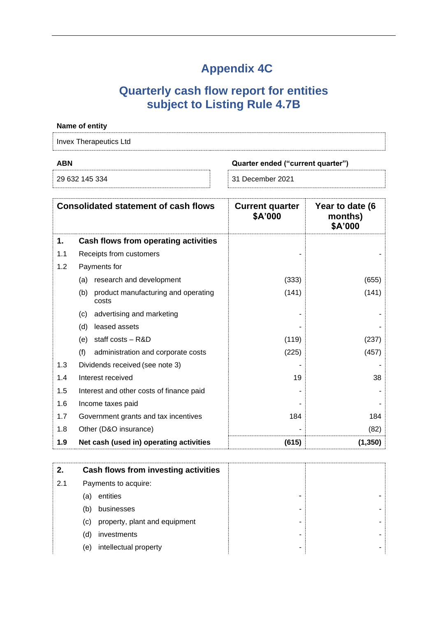# **Appendix 4C**

# **Quarterly cash flow report for entities subject to Listing Rule 4.7B**

# **Name of entity** Invex Therapeutics Ltd **ABN Quarter ended ("current quarter")** 29 632 145 334 31 December 2021 **Consolidated statement of cash flows Current quarter \$A'000 Year to date (6 months) \$A'000 1. Cash flows from operating activities** 1.1 Receipts from customers **and the set of the set of the set of the set of the set of the set of the set of the set of the set of the set of the set of the set of the set of the set of the set of the set of the set of th** 1.2 Payments for (a) research and development (333) (655) (b) product manufacturing and operating costs  $(141)$   $(141)$ (c) advertising and marketing (d) leased assets  $\overline{\phantom{a}}$  -  $\overline{\phantom{a}}$  -  $\overline{\phantom{a}}$  -  $\overline{\phantom{a}}$  -  $\overline{\phantom{a}}$ (e) staff costs – R&D  $(237)$ (f) administration and corporate costs (225) (457) 1.3 Dividends received (see note 3) and the set of the set of the set of the set of the set of the set of the set of the set of the set of the set of the set of the set of the set of the set of the set of the set of the se 1.4 Interest received and the set of the set of the set of the set of the set of the set of the set of the set of the set of the set of the set of the set of the set of the set of the set of the set of the set of the set o 1.5 Interest and other costs of finance paid 1.6 Income taxes paid 1.7 Government grants and tax incentives 184 184 1.8 Other (D&O insurance) and the set of the set of the set of the set of the set of the set of the set of the set of the set of the set of the set of the set of the set of the set of the set of the set of the set of the s **1.9 Net cash (used in) operating activities (615) (1,350)**

| 2.  |     | Cash flows from investing activities |  |
|-----|-----|--------------------------------------|--|
| 2.1 |     | Payments to acquire:                 |  |
|     | (a) | entities                             |  |
|     | (b) | businesses                           |  |
|     | (C) | property, plant and equipment        |  |
|     | (d) | investments                          |  |
|     | (e) | intellectual property                |  |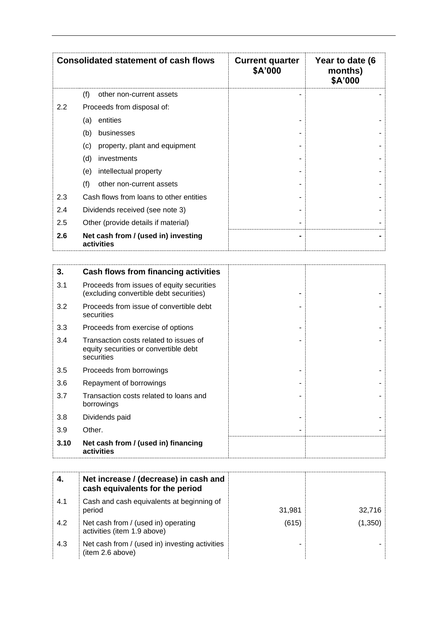| <b>Consolidated statement of cash flows</b> |                                                   | <b>Current quarter</b><br>\$A'000 | Year to date (6<br>months)<br>\$A'000 |
|---------------------------------------------|---------------------------------------------------|-----------------------------------|---------------------------------------|
|                                             | (f)<br>other non-current assets                   |                                   |                                       |
| 2.2                                         | Proceeds from disposal of:                        |                                   |                                       |
|                                             | entities<br>(a)                                   |                                   |                                       |
|                                             | (b)<br>businesses                                 |                                   |                                       |
|                                             | (c)<br>property, plant and equipment              |                                   |                                       |
|                                             | (d)<br>investments                                |                                   |                                       |
|                                             | intellectual property<br>(e)                      |                                   |                                       |
|                                             | (f)<br>other non-current assets                   |                                   |                                       |
| 2.3                                         | Cash flows from loans to other entities           |                                   |                                       |
| 2.4                                         | Dividends received (see note 3)                   |                                   |                                       |
| 2.5                                         | Other (provide details if material)               |                                   |                                       |
| 2.6                                         | Net cash from / (used in) investing<br>activities |                                   |                                       |

| 3.   | Cash flows from financing activities                                                          |  |
|------|-----------------------------------------------------------------------------------------------|--|
| 3.1  | Proceeds from issues of equity securities<br>(excluding convertible debt securities)          |  |
| 3.2  | Proceeds from issue of convertible debt<br>securities                                         |  |
| 3.3  | Proceeds from exercise of options                                                             |  |
| 3.4  | Transaction costs related to issues of<br>equity securities or convertible debt<br>securities |  |
| 3.5  | Proceeds from borrowings                                                                      |  |
| 3.6  | Repayment of borrowings                                                                       |  |
| 3.7  | Transaction costs related to loans and<br>borrowings                                          |  |
| 3.8  | Dividends paid                                                                                |  |
| 3.9  | Other.                                                                                        |  |
| 3.10 | Net cash from / (used in) financing<br>activities                                             |  |

| 4.  | Net increase / (decrease) in cash and<br>cash equivalents for the period |        |         |
|-----|--------------------------------------------------------------------------|--------|---------|
| 4.1 | Cash and cash equivalents at beginning of<br>period                      | 31,981 | 32.716  |
| 4.2 | Net cash from / (used in) operating<br>activities (item 1.9 above)       | (615)  | (1,350) |
| 4.3 | Net cash from / (used in) investing activities<br>(item 2.6 above)       |        |         |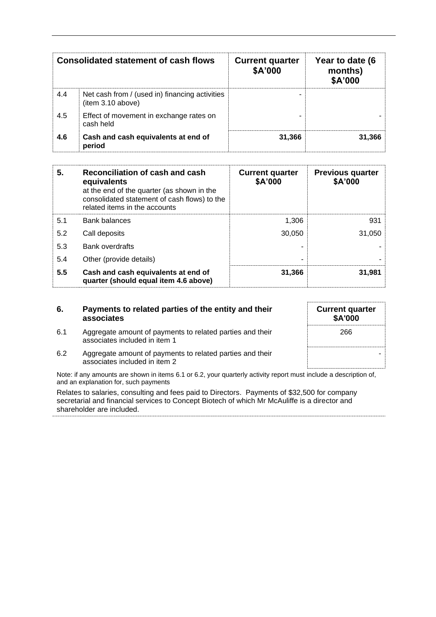| <b>Consolidated statement of cash flows</b> |                                                                     | <b>Current quarter</b><br>\$A'000 | Year to date (6<br>months)<br>\$A'000 |
|---------------------------------------------|---------------------------------------------------------------------|-----------------------------------|---------------------------------------|
| 4.4                                         | Net cash from / (used in) financing activities<br>(item 3.10 above) |                                   |                                       |
| 4.5                                         | Effect of movement in exchange rates on<br>cash held                |                                   |                                       |
| 4.6                                         | Cash and cash equivalents at end of<br>period                       | 31,366                            | 31,366                                |

| 5.  | Reconciliation of cash and cash<br>equivalents<br>at the end of the quarter (as shown in the<br>consolidated statement of cash flows) to the<br>related items in the accounts | <b>Current quarter</b><br>\$A'000 | <b>Previous quarter</b><br>\$A'000 |
|-----|-------------------------------------------------------------------------------------------------------------------------------------------------------------------------------|-----------------------------------|------------------------------------|
| 5.1 | <b>Bank balances</b>                                                                                                                                                          | 1,306                             | 931                                |
| 5.2 | Call deposits                                                                                                                                                                 | 30,050                            | 31,050                             |
| 5.3 | <b>Bank overdrafts</b>                                                                                                                                                        |                                   |                                    |
| 5.4 | Other (provide details)                                                                                                                                                       | -                                 |                                    |
| 5.5 | Cash and cash equivalents at end of<br>quarter (should equal item 4.6 above)                                                                                                  | 31,366                            | 31,981                             |

#### **6. Payments to related parties of the entity and their associates**

- 6.1 Aggregate amount of payments to related parties and their associates included in item 1
- **Current quarter \$A'000** 266 -
- 6.2 Aggregate amount of payments to related parties and their associates included in item 2

Note: if any amounts are shown in items 6.1 or 6.2, your quarterly activity report must include a description of, and an explanation for, such payments

Relates to salaries, consulting and fees paid to Directors. Payments of \$32,500 for company secretarial and financial services to Concept Biotech of which Mr McAuliffe is a director and shareholder are included.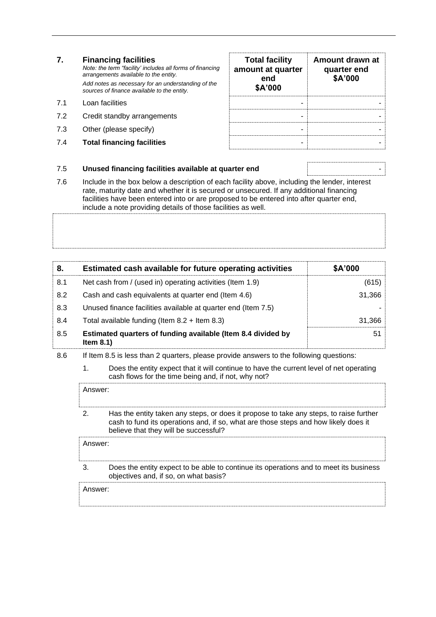*Note: the term "facility' includes all forms of financing arrangements available to the entity. Add notes as necessary for an understanding of the sources of finance available to the entity.*

- 7.1 Loan facilities
- 7.2 Credit standby arrangements
- 7.3 Other (please specify)
- 7.4 **Total financing facilities** -

| <b>Total facility</b><br>amount at quarter<br>end<br>\$A'000 | Amount drawn at<br>quarter end<br>\$A'000 |
|--------------------------------------------------------------|-------------------------------------------|
|                                                              |                                           |
|                                                              |                                           |
|                                                              |                                           |
|                                                              |                                           |

#### 7.5 **Unused financing facilities available at quarter end** -

7.6 Include in the box below a description of each facility above, including the lender, interest rate, maturity date and whether it is secured or unsecured. If any additional financing facilities have been entered into or are proposed to be entered into after quarter end, include a note providing details of those facilities as well.

| 8.  | Estimated cash available for future operating activities                     | \$A'000 |
|-----|------------------------------------------------------------------------------|---------|
| 8.1 | Net cash from / (used in) operating activities (Item 1.9)                    | (615)   |
| 8.2 | Cash and cash equivalents at quarter end (Item 4.6)                          | 31,366  |
| 8.3 | Unused finance facilities available at quarter end (Item 7.5)                |         |
| 8.4 | Total available funding (Item $8.2 +$ Item $8.3$ )                           | 31,366  |
| 8.5 | Estimated quarters of funding available (Item 8.4 divided by<br>Item $8.1$ ) | 51      |

- 8.6 If Item 8.5 is less than 2 quarters, please provide answers to the following questions:
	- 1. Does the entity expect that it will continue to have the current level of net operating cash flows for the time being and, if not, why not?

Answer: 2. Has the entity taken any steps, or does it propose to take any steps, to raise further cash to fund its operations and, if so, what are those steps and how likely does it

believe that they will be successful? Answer: 3. Does the entity expect to be able to continue its operations and to meet its business objectives and, if so, on what basis? Answer: